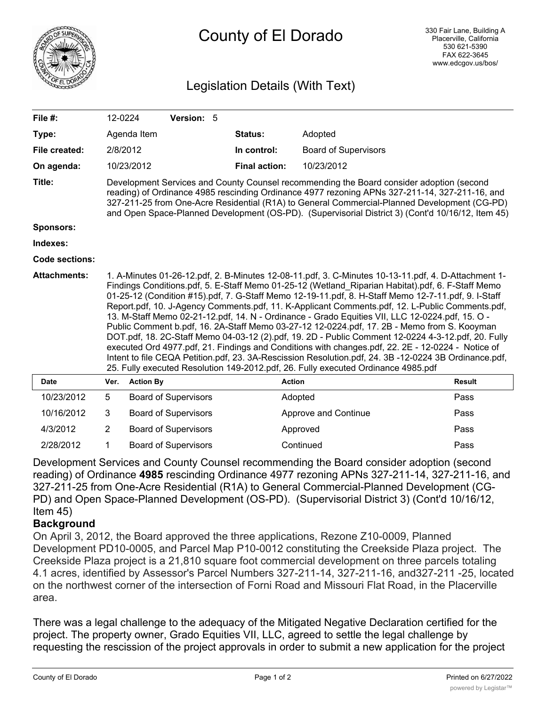

# County of El Dorado

## Legislation Details (With Text)

| File $#$ :          | 12-0224                                                                                                                                                                                                                                                                                                                                                                                                                                                                                                                                                                                                                                                                                                                                                                                                                                                                                                                                                                                                                       |                  | Version: 5                  |  |                      |                             |               |
|---------------------|-------------------------------------------------------------------------------------------------------------------------------------------------------------------------------------------------------------------------------------------------------------------------------------------------------------------------------------------------------------------------------------------------------------------------------------------------------------------------------------------------------------------------------------------------------------------------------------------------------------------------------------------------------------------------------------------------------------------------------------------------------------------------------------------------------------------------------------------------------------------------------------------------------------------------------------------------------------------------------------------------------------------------------|------------------|-----------------------------|--|----------------------|-----------------------------|---------------|
| Type:               |                                                                                                                                                                                                                                                                                                                                                                                                                                                                                                                                                                                                                                                                                                                                                                                                                                                                                                                                                                                                                               | Agenda Item      |                             |  | Status:              | Adopted                     |               |
| File created:       | 2/8/2012                                                                                                                                                                                                                                                                                                                                                                                                                                                                                                                                                                                                                                                                                                                                                                                                                                                                                                                                                                                                                      |                  |                             |  | In control:          | <b>Board of Supervisors</b> |               |
| On agenda:          |                                                                                                                                                                                                                                                                                                                                                                                                                                                                                                                                                                                                                                                                                                                                                                                                                                                                                                                                                                                                                               | 10/23/2012       |                             |  | <b>Final action:</b> | 10/23/2012                  |               |
| Title:              | Development Services and County Counsel recommending the Board consider adoption (second<br>reading) of Ordinance 4985 rescinding Ordinance 4977 rezoning APNs 327-211-14, 327-211-16, and<br>327-211-25 from One-Acre Residential (R1A) to General Commercial-Planned Development (CG-PD)<br>and Open Space-Planned Development (OS-PD). (Supervisorial District 3) (Cont'd 10/16/12, Item 45)                                                                                                                                                                                                                                                                                                                                                                                                                                                                                                                                                                                                                               |                  |                             |  |                      |                             |               |
| Sponsors:           |                                                                                                                                                                                                                                                                                                                                                                                                                                                                                                                                                                                                                                                                                                                                                                                                                                                                                                                                                                                                                               |                  |                             |  |                      |                             |               |
| Indexes:            |                                                                                                                                                                                                                                                                                                                                                                                                                                                                                                                                                                                                                                                                                                                                                                                                                                                                                                                                                                                                                               |                  |                             |  |                      |                             |               |
| Code sections:      |                                                                                                                                                                                                                                                                                                                                                                                                                                                                                                                                                                                                                                                                                                                                                                                                                                                                                                                                                                                                                               |                  |                             |  |                      |                             |               |
| <b>Attachments:</b> | 1. A-Minutes 01-26-12.pdf, 2. B-Minutes 12-08-11.pdf, 3. C-Minutes 10-13-11.pdf, 4. D-Attachment 1-<br>Findings Conditions.pdf, 5. E-Staff Memo 01-25-12 (Wetland Riparian Habitat).pdf, 6. F-Staff Memo<br>01-25-12 (Condition #15).pdf, 7. G-Staff Memo 12-19-11.pdf, 8. H-Staff Memo 12-7-11.pdf, 9. I-Staff<br>Report.pdf, 10. J-Agency Comments.pdf, 11. K-Applicant Comments.pdf, 12. L-Public Comments.pdf,<br>13. M-Staff Memo 02-21-12.pdf, 14. N - Ordinance - Grado Equities VII, LLC 12-0224.pdf, 15. O -<br>Public Comment b.pdf, 16. 2A-Staff Memo 03-27-12 12-0224.pdf, 17. 2B - Memo from S. Kooyman<br>DOT.pdf, 18. 2C-Staff Memo 04-03-12 (2).pdf, 19. 2D - Public Comment 12-0224 4-3-12.pdf, 20. Fully<br>executed Ord 4977.pdf, 21. Findings and Conditions with changes.pdf, 22. 2E - 12-0224 - Notice of<br>Intent to file CEQA Petition.pdf, 23. 3A-Rescission Resolution.pdf, 24. 3B -12-0224 3B Ordinance.pdf,<br>25. Fully executed Resolution 149-2012.pdf, 26. Fully executed Ordinance 4985.pdf |                  |                             |  |                      |                             |               |
| <b>Date</b>         | Ver.                                                                                                                                                                                                                                                                                                                                                                                                                                                                                                                                                                                                                                                                                                                                                                                                                                                                                                                                                                                                                          | <b>Action By</b> |                             |  |                      | <b>Action</b>               | <b>Result</b> |
| 10/23/2012          | 5                                                                                                                                                                                                                                                                                                                                                                                                                                                                                                                                                                                                                                                                                                                                                                                                                                                                                                                                                                                                                             |                  | <b>Board of Supervisors</b> |  |                      | Adopted                     | Pass          |
| 10/16/2012          | 3                                                                                                                                                                                                                                                                                                                                                                                                                                                                                                                                                                                                                                                                                                                                                                                                                                                                                                                                                                                                                             |                  | <b>Board of Supervisors</b> |  |                      | Approve and Continue        | Pass          |
| 4/3/2012            | 2                                                                                                                                                                                                                                                                                                                                                                                                                                                                                                                                                                                                                                                                                                                                                                                                                                                                                                                                                                                                                             |                  | <b>Board of Supervisors</b> |  |                      | Approved                    | Pass          |

Development Services and County Counsel recommending the Board consider adoption (second reading) of Ordinance **4985** rescinding Ordinance 4977 rezoning APNs 327-211-14, 327-211-16, and 327-211-25 from One-Acre Residential (R1A) to General Commercial-Planned Development (CG-PD) and Open Space-Planned Development (OS-PD). (Supervisorial District 3) (Cont'd 10/16/12, Item 45)

2/28/2012 1 Board of Supervisors Continued Pass

#### **Background**

On April 3, 2012, the Board approved the three applications, Rezone Z10-0009, Planned Development PD10-0005, and Parcel Map P10-0012 constituting the Creekside Plaza project. The Creekside Plaza project is a 21,810 square foot commercial development on three parcels totaling 4.1 acres, identified by Assessor's Parcel Numbers 327-211-14, 327-211-16, and327-211 -25, located on the northwest corner of the intersection of Forni Road and Missouri Flat Road, in the Placerville area.

There was a legal challenge to the adequacy of the Mitigated Negative Declaration certified for the project. The property owner, Grado Equities VII, LLC, agreed to settle the legal challenge by requesting the rescission of the project approvals in order to submit a new application for the project